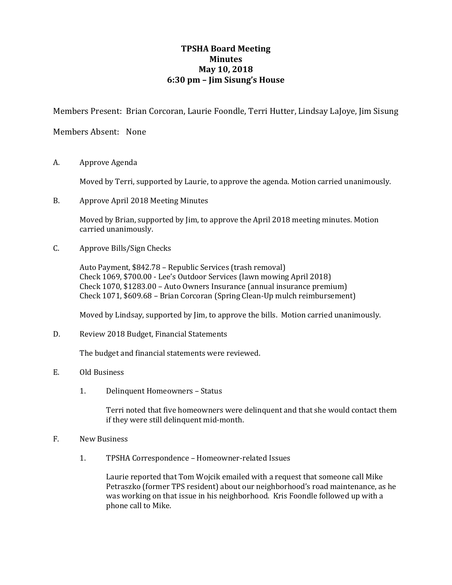## **TPSHA Board Meeting Minutes May 10, 2018 6:30 pm – Jim Sisung's House**

Members Present: Brian Corcoran, Laurie Foondle, Terri Hutter, Lindsay LaJoye, Jim Sisung

Members Absent: None

A. Approve Agenda

Moved by Terri, supported by Laurie, to approve the agenda. Motion carried unanimously.

B. Approve April 2018 Meeting Minutes

Moved by Brian, supported by Jim, to approve the April 2018 meeting minutes. Motion carried unanimously.

C. Approve Bills/Sign Checks

Auto Payment, \$842.78 – Republic Services (trash removal) Check 1069, \$700.00 - Lee's Outdoor Services (lawn mowing April 2018) Check 1070, \$1283.00 – Auto Owners Insurance (annual insurance premium) Check 1071, \$609.68 – Brian Corcoran (Spring Clean-Up mulch reimbursement)

Moved by Lindsay, supported by Jim, to approve the bills. Motion carried unanimously.

D. Review 2018 Budget, Financial Statements

The budget and financial statements were reviewed.

- E. Old Business
	- 1. Delinquent Homeowners Status

Terri noted that five homeowners were delinquent and that she would contact them if they were still delinquent mid-month.

- F. New Business
	- 1. TPSHA Correspondence Homeowner-related Issues

Laurie reported that Tom Wojcik emailed with a request that someone call Mike Petraszko (former TPS resident) about our neighborhood's road maintenance, as he was working on that issue in his neighborhood. Kris Foondle followed up with a phone call to Mike.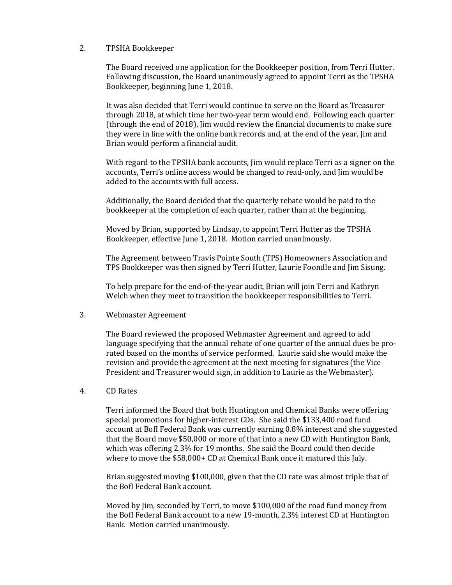## 2. TPSHA Bookkeeper

The Board received one application for the Bookkeeper position, from Terri Hutter. Following discussion, the Board unanimously agreed to appoint Terri as the TPSHA Bookkeeper, beginning June 1, 2018.

It was also decided that Terri would continue to serve on the Board as Treasurer through 2018, at which time her two-year term would end. Following each quarter (through the end of 2018), Jim would review the financial documents to make sure they were in line with the online bank records and, at the end of the year, Jim and Brian would perform a financial audit.

With regard to the TPSHA bank accounts, Jim would replace Terri as a signer on the accounts, Terri's online access would be changed to read-only, and Jim would be added to the accounts with full access.

Additionally, the Board decided that the quarterly rebate would be paid to the bookkeeper at the completion of each quarter, rather than at the beginning.

Moved by Brian, supported by Lindsay, to appoint Terri Hutter as the TPSHA Bookkeeper, effective June 1, 2018. Motion carried unanimously.

The Agreement between Travis Pointe South (TPS) Homeowners Association and TPS Bookkeeper was then signed by Terri Hutter, Laurie Foondle and Jim Sisung.

To help prepare for the end-of-the-year audit, Brian will join Terri and Kathryn Welch when they meet to transition the bookkeeper responsibilities to Terri.

3. Webmaster Agreement

The Board reviewed the proposed Webmaster Agreement and agreed to add language specifying that the annual rebate of one quarter of the annual dues be prorated based on the months of service performed. Laurie said she would make the revision and provide the agreement at the next meeting for signatures (the Vice President and Treasurer would sign, in addition to Laurie as the Webmaster).

4. CD Rates

Terri informed the Board that both Huntington and Chemical Banks were offering special promotions for higher-interest CDs. She said the \$133,400 road fund account at BofI Federal Bank was currently earning 0.8% interest and she suggested that the Board move \$50,000 or more of that into a new CD with Huntington Bank, which was offering 2.3% for 19 months. She said the Board could then decide where to move the \$58,000+ CD at Chemical Bank once it matured this July.

Brian suggested moving \$100,000, given that the CD rate was almost triple that of the BofI Federal Bank account.

Moved by Jim, seconded by Terri, to move \$100,000 of the road fund money from the BofI Federal Bank account to a new 19-month, 2.3% interest CD at Huntington Bank. Motion carried unanimously.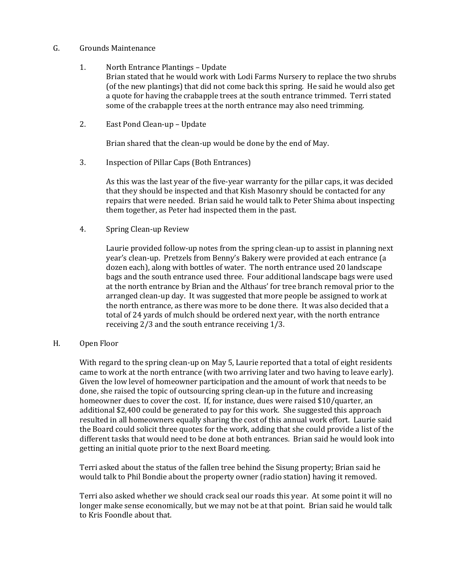## G. Grounds Maintenance

- 1. North Entrance Plantings Update Brian stated that he would work with Lodi Farms Nursery to replace the two shrubs (of the new plantings) that did not come back this spring. He said he would also get a quote for having the crabapple trees at the south entrance trimmed. Terri stated some of the crabapple trees at the north entrance may also need trimming.
- 2. East Pond Clean-up Update

Brian shared that the clean-up would be done by the end of May.

3. Inspection of Pillar Caps (Both Entrances)

As this was the last year of the five-year warranty for the pillar caps, it was decided that they should be inspected and that Kish Masonry should be contacted for any repairs that were needed. Brian said he would talk to Peter Shima about inspecting them together, as Peter had inspected them in the past.

4. Spring Clean-up Review

Laurie provided follow-up notes from the spring clean-up to assist in planning next year's clean-up. Pretzels from Benny's Bakery were provided at each entrance (a dozen each), along with bottles of water. The north entrance used 20 landscape bags and the south entrance used three. Four additional landscape bags were used at the north entrance by Brian and the Althaus' for tree branch removal prior to the arranged clean-up day. It was suggested that more people be assigned to work at the north entrance, as there was more to be done there. It was also decided that a total of 24 yards of mulch should be ordered next year, with the north entrance receiving 2/3 and the south entrance receiving 1/3.

## H. Open Floor

With regard to the spring clean-up on May 5, Laurie reported that a total of eight residents came to work at the north entrance (with two arriving later and two having to leave early). Given the low level of homeowner participation and the amount of work that needs to be done, she raised the topic of outsourcing spring clean-up in the future and increasing homeowner dues to cover the cost. If, for instance, dues were raised \$10/quarter, an additional \$2,400 could be generated to pay for this work. She suggested this approach resulted in all homeowners equally sharing the cost of this annual work effort. Laurie said the Board could solicit three quotes for the work, adding that she could provide a list of the different tasks that would need to be done at both entrances. Brian said he would look into getting an initial quote prior to the next Board meeting.

Terri asked about the status of the fallen tree behind the Sisung property; Brian said he would talk to Phil Bondie about the property owner (radio station) having it removed.

Terri also asked whether we should crack seal our roads this year. At some point it will no longer make sense economically, but we may not be at that point. Brian said he would talk to Kris Foondle about that.